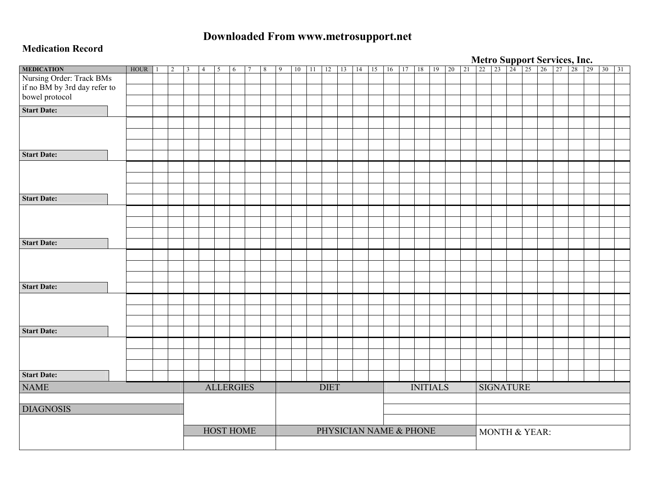# **Downloaded From www.metrosupport.net**

#### **Medication Record**

|                              |             |   |   |                |   |                  |                |   |   |    |    |             |    |    |                        |    |       |                 |       |  | <b>Metro Support Services, Inc.</b><br>21 22 23 24 25 26 27 28 29 |  |  |  |  |
|------------------------------|-------------|---|---|----------------|---|------------------|----------------|---|---|----|----|-------------|----|----|------------------------|----|-------|-----------------|-------|--|-------------------------------------------------------------------|--|--|--|--|
| <b>MEDICATION</b>            | <b>HOUR</b> | 2 | 3 | $\overline{4}$ | 5 | 6                | $\overline{7}$ | 8 | 9 | 10 | 11 | 12          | 13 | 14 | 15                     | 16 | 17 18 |                 | 19 20 |  |                                                                   |  |  |  |  |
| Nursing Order: Track BMs     |             |   |   |                |   |                  |                |   |   |    |    |             |    |    |                        |    |       |                 |       |  |                                                                   |  |  |  |  |
| if no BM by 3rd day refer to |             |   |   |                |   |                  |                |   |   |    |    |             |    |    |                        |    |       |                 |       |  |                                                                   |  |  |  |  |
| bowel protocol               |             |   |   |                |   |                  |                |   |   |    |    |             |    |    |                        |    |       |                 |       |  |                                                                   |  |  |  |  |
| <b>Start Date:</b>           |             |   |   |                |   |                  |                |   |   |    |    |             |    |    |                        |    |       |                 |       |  |                                                                   |  |  |  |  |
|                              |             |   |   |                |   |                  |                |   |   |    |    |             |    |    |                        |    |       |                 |       |  |                                                                   |  |  |  |  |
|                              |             |   |   |                |   |                  |                |   |   |    |    |             |    |    |                        |    |       |                 |       |  |                                                                   |  |  |  |  |
|                              |             |   |   |                |   |                  |                |   |   |    |    |             |    |    |                        |    |       |                 |       |  |                                                                   |  |  |  |  |
| <b>Start Date:</b>           |             |   |   |                |   |                  |                |   |   |    |    |             |    |    |                        |    |       |                 |       |  |                                                                   |  |  |  |  |
|                              |             |   |   |                |   |                  |                |   |   |    |    |             |    |    |                        |    |       |                 |       |  |                                                                   |  |  |  |  |
|                              |             |   |   |                |   |                  |                |   |   |    |    |             |    |    |                        |    |       |                 |       |  |                                                                   |  |  |  |  |
|                              |             |   |   |                |   |                  |                |   |   |    |    |             |    |    |                        |    |       |                 |       |  |                                                                   |  |  |  |  |
| <b>Start Date:</b>           |             |   |   |                |   |                  |                |   |   |    |    |             |    |    |                        |    |       |                 |       |  |                                                                   |  |  |  |  |
|                              |             |   |   |                |   |                  |                |   |   |    |    |             |    |    |                        |    |       |                 |       |  |                                                                   |  |  |  |  |
|                              |             |   |   |                |   |                  |                |   |   |    |    |             |    |    |                        |    |       |                 |       |  |                                                                   |  |  |  |  |
|                              |             |   |   |                |   |                  |                |   |   |    |    |             |    |    |                        |    |       |                 |       |  |                                                                   |  |  |  |  |
| <b>Start Date:</b>           |             |   |   |                |   |                  |                |   |   |    |    |             |    |    |                        |    |       |                 |       |  |                                                                   |  |  |  |  |
|                              |             |   |   |                |   |                  |                |   |   |    |    |             |    |    |                        |    |       |                 |       |  |                                                                   |  |  |  |  |
|                              |             |   |   |                |   |                  |                |   |   |    |    |             |    |    |                        |    |       |                 |       |  |                                                                   |  |  |  |  |
|                              |             |   |   |                |   |                  |                |   |   |    |    |             |    |    |                        |    |       |                 |       |  |                                                                   |  |  |  |  |
| <b>Start Date:</b>           |             |   |   |                |   |                  |                |   |   |    |    |             |    |    |                        |    |       |                 |       |  |                                                                   |  |  |  |  |
|                              |             |   |   |                |   |                  |                |   |   |    |    |             |    |    |                        |    |       |                 |       |  |                                                                   |  |  |  |  |
|                              |             |   |   |                |   |                  |                |   |   |    |    |             |    |    |                        |    |       |                 |       |  |                                                                   |  |  |  |  |
|                              |             |   |   |                |   |                  |                |   |   |    |    |             |    |    |                        |    |       |                 |       |  |                                                                   |  |  |  |  |
| <b>Start Date:</b>           |             |   |   |                |   |                  |                |   |   |    |    |             |    |    |                        |    |       |                 |       |  |                                                                   |  |  |  |  |
|                              |             |   |   |                |   |                  |                |   |   |    |    |             |    |    |                        |    |       |                 |       |  |                                                                   |  |  |  |  |
|                              |             |   |   |                |   |                  |                |   |   |    |    |             |    |    |                        |    |       |                 |       |  |                                                                   |  |  |  |  |
|                              |             |   |   |                |   |                  |                |   |   |    |    |             |    |    |                        |    |       |                 |       |  |                                                                   |  |  |  |  |
| <b>Start Date:</b>           |             |   |   |                |   |                  |                |   |   |    |    |             |    |    |                        |    |       |                 |       |  |                                                                   |  |  |  |  |
| <b>NAME</b>                  |             |   |   |                |   | <b>ALLERGIES</b> |                |   |   |    |    | <b>DIET</b> |    |    |                        |    |       | <b>INITIALS</b> |       |  | <b>SIGNATURE</b>                                                  |  |  |  |  |
|                              |             |   |   |                |   |                  |                |   |   |    |    |             |    |    |                        |    |       |                 |       |  |                                                                   |  |  |  |  |
| <b>DIAGNOSIS</b>             |             |   |   |                |   |                  |                |   |   |    |    |             |    |    |                        |    |       |                 |       |  |                                                                   |  |  |  |  |
|                              |             |   |   |                |   |                  |                |   |   |    |    |             |    |    |                        |    |       |                 |       |  |                                                                   |  |  |  |  |
|                              |             |   |   |                |   | <b>HOST HOME</b> |                |   |   |    |    |             |    |    | PHYSICIAN NAME & PHONE |    |       |                 |       |  | MONTH & YEAR:                                                     |  |  |  |  |
|                              |             |   |   |                |   |                  |                |   |   |    |    |             |    |    |                        |    |       |                 |       |  |                                                                   |  |  |  |  |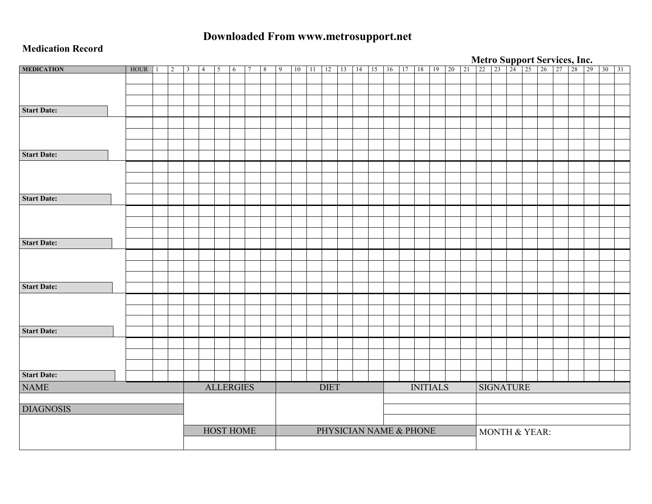# **Downloaded From www.metrosupport.net**

#### **Medication Record**

|                    |             |  |                |   |                |   |                  |   |   |    |    |             |    |    |                        |    |                 |       |  |                  |  | <b>Metro Support Services, Inc.</b><br>21 22 23 24 25 26 27 28 29 30 31 |  |  |  |
|--------------------|-------------|--|----------------|---|----------------|---|------------------|---|---|----|----|-------------|----|----|------------------------|----|-----------------|-------|--|------------------|--|-------------------------------------------------------------------------|--|--|--|
| <b>MEDICATION</b>  | <b>HOUR</b> |  | $\overline{2}$ | 3 | $\overline{4}$ | 5 | 6                | 8 | 9 | 10 | 11 | 12          | 13 | 14 | 15                     | 16 | 17 18           | 19 20 |  |                  |  |                                                                         |  |  |  |
|                    |             |  |                |   |                |   |                  |   |   |    |    |             |    |    |                        |    |                 |       |  |                  |  |                                                                         |  |  |  |
|                    |             |  |                |   |                |   |                  |   |   |    |    |             |    |    |                        |    |                 |       |  |                  |  |                                                                         |  |  |  |
|                    |             |  |                |   |                |   |                  |   |   |    |    |             |    |    |                        |    |                 |       |  |                  |  |                                                                         |  |  |  |
| <b>Start Date:</b> |             |  |                |   |                |   |                  |   |   |    |    |             |    |    |                        |    |                 |       |  |                  |  |                                                                         |  |  |  |
|                    |             |  |                |   |                |   |                  |   |   |    |    |             |    |    |                        |    |                 |       |  |                  |  |                                                                         |  |  |  |
|                    |             |  |                |   |                |   |                  |   |   |    |    |             |    |    |                        |    |                 |       |  |                  |  |                                                                         |  |  |  |
|                    |             |  |                |   |                |   |                  |   |   |    |    |             |    |    |                        |    |                 |       |  |                  |  |                                                                         |  |  |  |
| <b>Start Date:</b> |             |  |                |   |                |   |                  |   |   |    |    |             |    |    |                        |    |                 |       |  |                  |  |                                                                         |  |  |  |
|                    |             |  |                |   |                |   |                  |   |   |    |    |             |    |    |                        |    |                 |       |  |                  |  |                                                                         |  |  |  |
|                    |             |  |                |   |                |   |                  |   |   |    |    |             |    |    |                        |    |                 |       |  |                  |  |                                                                         |  |  |  |
|                    |             |  |                |   |                |   |                  |   |   |    |    |             |    |    |                        |    |                 |       |  |                  |  |                                                                         |  |  |  |
|                    |             |  |                |   |                |   |                  |   |   |    |    |             |    |    |                        |    |                 |       |  |                  |  |                                                                         |  |  |  |
| <b>Start Date:</b> |             |  |                |   |                |   |                  |   |   |    |    |             |    |    |                        |    |                 |       |  |                  |  |                                                                         |  |  |  |
|                    |             |  |                |   |                |   |                  |   |   |    |    |             |    |    |                        |    |                 |       |  |                  |  |                                                                         |  |  |  |
|                    |             |  |                |   |                |   |                  |   |   |    |    |             |    |    |                        |    |                 |       |  |                  |  |                                                                         |  |  |  |
|                    |             |  |                |   |                |   |                  |   |   |    |    |             |    |    |                        |    |                 |       |  |                  |  |                                                                         |  |  |  |
| <b>Start Date:</b> |             |  |                |   |                |   |                  |   |   |    |    |             |    |    |                        |    |                 |       |  |                  |  |                                                                         |  |  |  |
|                    |             |  |                |   |                |   |                  |   |   |    |    |             |    |    |                        |    |                 |       |  |                  |  |                                                                         |  |  |  |
|                    |             |  |                |   |                |   |                  |   |   |    |    |             |    |    |                        |    |                 |       |  |                  |  |                                                                         |  |  |  |
|                    |             |  |                |   |                |   |                  |   |   |    |    |             |    |    |                        |    |                 |       |  |                  |  |                                                                         |  |  |  |
| <b>Start Date:</b> |             |  |                |   |                |   |                  |   |   |    |    |             |    |    |                        |    |                 |       |  |                  |  |                                                                         |  |  |  |
|                    |             |  |                |   |                |   |                  |   |   |    |    |             |    |    |                        |    |                 |       |  |                  |  |                                                                         |  |  |  |
|                    |             |  |                |   |                |   |                  |   |   |    |    |             |    |    |                        |    |                 |       |  |                  |  |                                                                         |  |  |  |
|                    |             |  |                |   |                |   |                  |   |   |    |    |             |    |    |                        |    |                 |       |  |                  |  |                                                                         |  |  |  |
|                    |             |  |                |   |                |   |                  |   |   |    |    |             |    |    |                        |    |                 |       |  |                  |  |                                                                         |  |  |  |
| <b>Start Date:</b> |             |  |                |   |                |   |                  |   |   |    |    |             |    |    |                        |    |                 |       |  |                  |  |                                                                         |  |  |  |
|                    |             |  |                |   |                |   |                  |   |   |    |    |             |    |    |                        |    |                 |       |  |                  |  |                                                                         |  |  |  |
|                    |             |  |                |   |                |   |                  |   |   |    |    |             |    |    |                        |    |                 |       |  |                  |  |                                                                         |  |  |  |
|                    |             |  |                |   |                |   |                  |   |   |    |    |             |    |    |                        |    |                 |       |  |                  |  |                                                                         |  |  |  |
| <b>Start Date:</b> |             |  |                |   |                |   |                  |   |   |    |    |             |    |    |                        |    |                 |       |  |                  |  |                                                                         |  |  |  |
| <b>NAME</b>        |             |  |                |   |                |   | <b>ALLERGIES</b> |   |   |    |    | <b>DIET</b> |    |    |                        |    | <b>INITIALS</b> |       |  | <b>SIGNATURE</b> |  |                                                                         |  |  |  |
|                    |             |  |                |   |                |   |                  |   |   |    |    |             |    |    |                        |    |                 |       |  |                  |  |                                                                         |  |  |  |
| <b>DIAGNOSIS</b>   |             |  |                |   |                |   |                  |   |   |    |    |             |    |    |                        |    |                 |       |  |                  |  |                                                                         |  |  |  |
|                    |             |  |                |   |                |   |                  |   |   |    |    |             |    |    |                        |    |                 |       |  |                  |  |                                                                         |  |  |  |
|                    |             |  |                |   |                |   |                  |   |   |    |    |             |    |    |                        |    |                 |       |  |                  |  |                                                                         |  |  |  |
|                    |             |  |                |   |                |   | <b>HOST HOME</b> |   |   |    |    |             |    |    | PHYSICIAN NAME & PHONE |    |                 |       |  |                  |  | MONTH & YEAR:                                                           |  |  |  |
|                    |             |  |                |   |                |   |                  |   |   |    |    |             |    |    |                        |    |                 |       |  |                  |  |                                                                         |  |  |  |